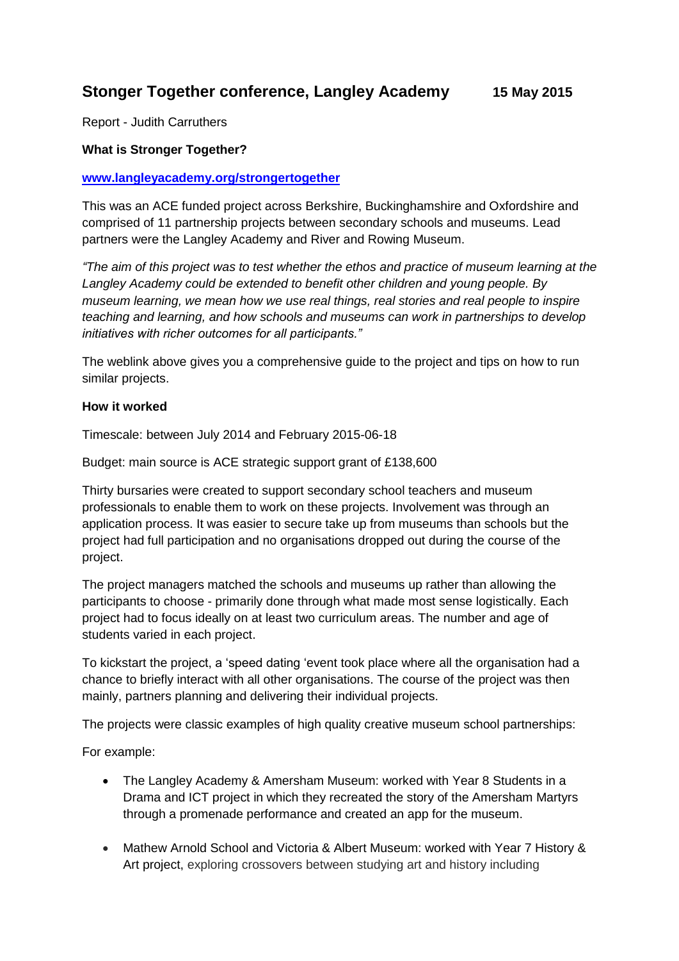# **Stonger Together conference, Langley Academy 15 May 2015**

Report - Judith Carruthers

#### **What is Stronger Together?**

#### **[www.langleyacademy.org/strongertogether](http://www.langleyacademy.org/strongertogether)**

This was an ACE funded project across Berkshire, Buckinghamshire and Oxfordshire and comprised of 11 partnership projects between secondary schools and museums. Lead partners were the Langley Academy and River and Rowing Museum.

*"The aim of this project was to test whether the ethos and practice of museum learning at the Langley Academy could be extended to benefit other children and young people. By museum learning, we mean how we use real things, real stories and real people to inspire teaching and learning, and how schools and museums can work in partnerships to develop initiatives with richer outcomes for all participants."*

The weblink above gives you a comprehensive guide to the project and tips on how to run similar projects.

#### **How it worked**

Timescale: between July 2014 and February 2015-06-18

Budget: main source is ACE strategic support grant of £138,600

Thirty bursaries were created to support secondary school teachers and museum professionals to enable them to work on these projects. Involvement was through an application process. It was easier to secure take up from museums than schools but the project had full participation and no organisations dropped out during the course of the project.

The project managers matched the schools and museums up rather than allowing the participants to choose - primarily done through what made most sense logistically. Each project had to focus ideally on at least two curriculum areas. The number and age of students varied in each project.

To kickstart the project, a 'speed dating 'event took place where all the organisation had a chance to briefly interact with all other organisations. The course of the project was then mainly, partners planning and delivering their individual projects.

The projects were classic examples of high quality creative museum school partnerships:

For example:

- The Langley Academy & Amersham Museum: worked with Year 8 Students in a Drama and ICT project in which they recreated the story of the Amersham Martyrs through a promenade performance and created an app for the museum.
- Mathew Arnold School and Victoria & Albert Museum: worked with Year 7 History & Art project, exploring crossovers between studying art and history including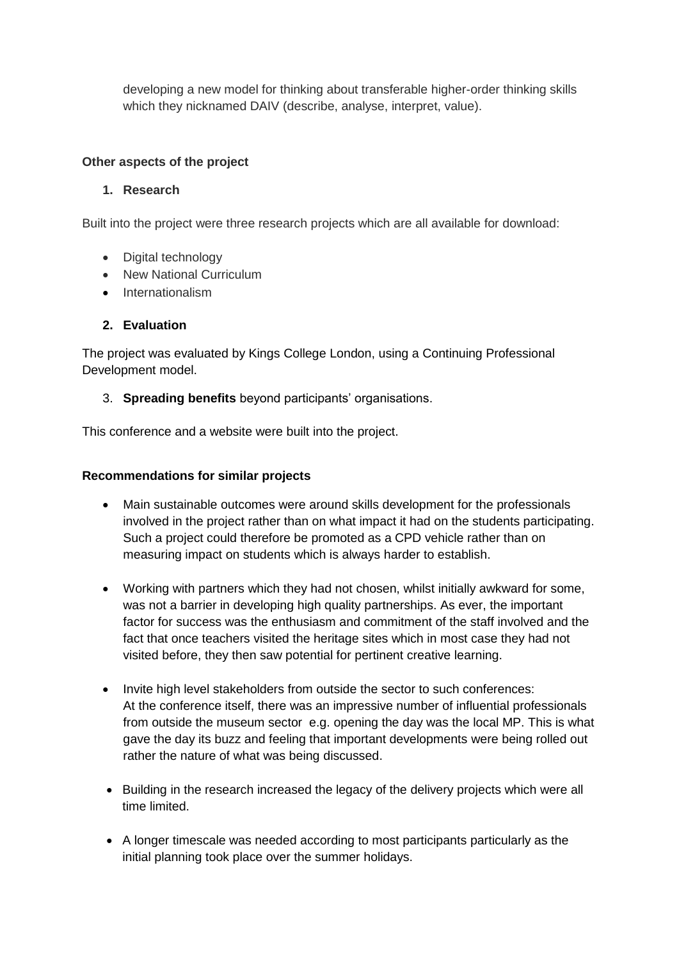developing a new model for thinking about transferable higher-order thinking skills which they nicknamed DAIV (describe, analyse, interpret, value).

#### **Other aspects of the project**

#### **1. Research**

Built into the project were three research projects which are all available for download:

- Digital technology
- New National Curriculum
- Internationalism

# **2. Evaluation**

The project was evaluated by Kings College London, using a Continuing Professional Development model.

# 3. **Spreading benefits** beyond participants' organisations.

This conference and a website were built into the project.

## **Recommendations for similar projects**

- Main sustainable outcomes were around skills development for the professionals involved in the project rather than on what impact it had on the students participating. Such a project could therefore be promoted as a CPD vehicle rather than on measuring impact on students which is always harder to establish.
- Working with partners which they had not chosen, whilst initially awkward for some, was not a barrier in developing high quality partnerships. As ever, the important factor for success was the enthusiasm and commitment of the staff involved and the fact that once teachers visited the heritage sites which in most case they had not visited before, they then saw potential for pertinent creative learning.
- Invite high level stakeholders from outside the sector to such conferences: At the conference itself, there was an impressive number of influential professionals from outside the museum sector e.g. opening the day was the local MP. This is what gave the day its buzz and feeling that important developments were being rolled out rather the nature of what was being discussed.
- Building in the research increased the legacy of the delivery projects which were all time limited.
- A longer timescale was needed according to most participants particularly as the initial planning took place over the summer holidays.